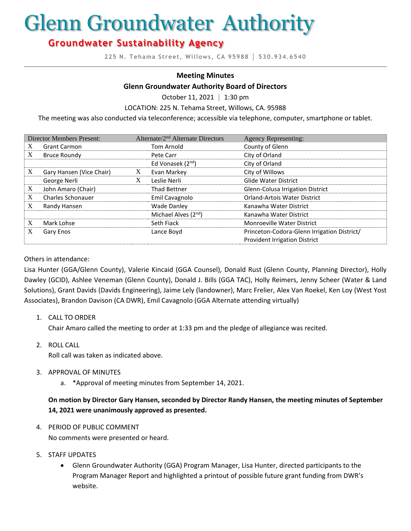# Glenn Groundwater Authority

# **Groundwater Sustainability Agency**

**225 N. Tehama Street, Willows, CA 95988 │ 530.934.6540**

#### **Meeting Minutes**

#### **Glenn Groundwater Authority Board of Directors**

October 11, 2021 **│** 1:30 pm

LOCATION: 225 N. Tehama Street, Willows, CA. 95988

The meeting was also conducted via teleconference; accessible via telephone, computer, smartphone or tablet.

| <b>Director Members Present:</b> |                          | Alternate/2 <sup>nd</sup> Alternate Directors |                                  | <b>Agency Representing:</b>                 |
|----------------------------------|--------------------------|-----------------------------------------------|----------------------------------|---------------------------------------------|
| X                                | <b>Grant Carmon</b>      |                                               | Tom Arnold                       | County of Glenn                             |
| X                                | Bruce Roundy             |                                               | Pete Carr                        | City of Orland                              |
|                                  |                          |                                               | Ed Vonasek (2 <sup>nd</sup> )    | City of Orland                              |
| X                                | Gary Hansen (Vice Chair) | X                                             | Evan Markey                      | City of Willows                             |
|                                  | George Nerli             | X                                             | Leslie Nerli                     | <b>Glide Water District</b>                 |
| X                                | John Amaro (Chair)       |                                               | <b>Thad Bettner</b>              | Glenn-Colusa Irrigation District            |
| X                                | Charles Schonauer        |                                               | Emil Cavagnolo                   | <b>Orland-Artois Water District</b>         |
| X                                | Randy Hansen             |                                               | <b>Wade Danley</b>               | Kanawha Water District                      |
|                                  |                          |                                               | Michael Alves (2 <sup>nd</sup> ) | Kanawha Water District                      |
| X                                | Mark Lohse               |                                               | Seth Fiack                       | <b>Monroeville Water District</b>           |
| X                                | Gary Enos                |                                               | Lance Boyd                       | Princeton-Codora-Glenn Irrigation District/ |
|                                  |                          |                                               |                                  | <b>Provident Irrigation District</b>        |

#### Others in attendance:

Lisa Hunter (GGA/Glenn County), Valerie Kincaid (GGA Counsel), Donald Rust (Glenn County, Planning Director), Holly Dawley (GCID), Ashlee Veneman (Glenn County), Donald J. Bills (GGA TAC), Holly Reimers, Jenny Scheer (Water & Land Solutions), Grant Davids (Davids Engineering), Jaime Lely (landowner), Marc Frelier, Alex Van Roekel, Ken Loy (West Yost Associates), Brandon Davison (CA DWR), Emil Cavagnolo (GGA Alternate attending virtually)

1. CALL TO ORDER

Chair Amaro called the meeting to order at 1:33 pm and the pledge of allegiance was recited.

2. ROLL CALL

Roll call was taken as indicated above.

- 3. APPROVAL OF MINUTES
	- a. \*Approval of meeting minutes from September 14, 2021.

#### **On motion by Director Gary Hansen, seconded by Director Randy Hansen, the meeting minutes of September 14, 2021 were unanimously approved as presented.**

4. PERIOD OF PUBLIC COMMENT

No comments were presented or heard.

- 5. STAFF UPDATES
	- Glenn Groundwater Authority (GGA) Program Manager, Lisa Hunter, directed participants to the Program Manager Report and highlighted a printout of possible future grant funding from DWR's website.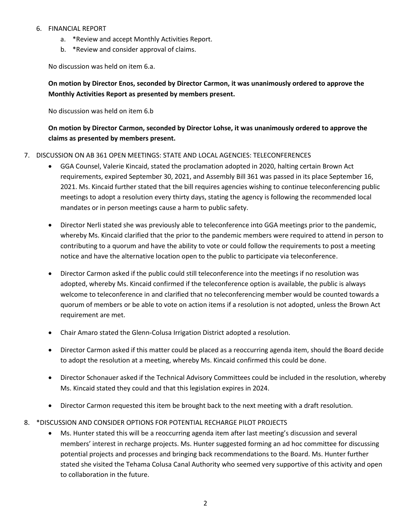#### 6. FINANCIAL REPORT

- a. \*Review and accept Monthly Activities Report.
- b. \*Review and consider approval of claims.

No discussion was held on item 6.a.

# **On motion by Director Enos, seconded by Director Carmon, it was unanimously ordered to approve the Monthly Activities Report as presented by members present.**

No discussion was held on item 6.b

## **On motion by Director Carmon, seconded by Director Lohse, it was unanimously ordered to approve the claims as presented by members present.**

#### 7. DISCUSSION ON AB 361 OPEN MEETINGS: STATE AND LOCAL AGENCIES: TELECONFERENCES

- GGA Counsel, Valerie Kincaid, stated the proclamation adopted in 2020, halting certain Brown Act requirements, expired September 30, 2021, and Assembly Bill 361 was passed in its place September 16, 2021. Ms. Kincaid further stated that the bill requires agencies wishing to continue teleconferencing public meetings to adopt a resolution every thirty days, stating the agency is following the recommended local mandates or in person meetings cause a harm to public safety.
- Director Nerli stated she was previously able to teleconference into GGA meetings prior to the pandemic, whereby Ms. Kincaid clarified that the prior to the pandemic members were required to attend in person to contributing to a quorum and have the ability to vote or could follow the requirements to post a meeting notice and have the alternative location open to the public to participate via teleconference.
- Director Carmon asked if the public could still teleconference into the meetings if no resolution was adopted, whereby Ms. Kincaid confirmed if the teleconference option is available, the public is always welcome to teleconference in and clarified that no teleconferencing member would be counted towards a quorum of members or be able to vote on action items if a resolution is not adopted, unless the Brown Act requirement are met.
- Chair Amaro stated the Glenn-Colusa Irrigation District adopted a resolution.
- Director Carmon asked if this matter could be placed as a reoccurring agenda item, should the Board decide to adopt the resolution at a meeting, whereby Ms. Kincaid confirmed this could be done.
- Director Schonauer asked if the Technical Advisory Committees could be included in the resolution, whereby Ms. Kincaid stated they could and that this legislation expires in 2024.
- Director Carmon requested this item be brought back to the next meeting with a draft resolution.
- 8. \*DISCUSSION AND CONSIDER OPTIONS FOR POTENTIAL RECHARGE PILOT PROJECTS
	- Ms. Hunter stated this will be a reoccurring agenda item after last meeting's discussion and several members' interest in recharge projects. Ms. Hunter suggested forming an ad hoc committee for discussing potential projects and processes and bringing back recommendations to the Board. Ms. Hunter further stated she visited the Tehama Colusa Canal Authority who seemed very supportive of this activity and open to collaboration in the future.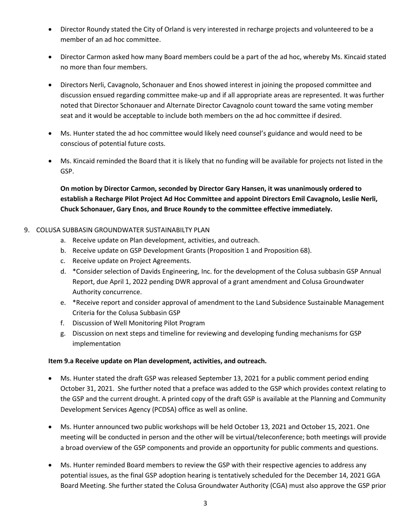- Director Roundy stated the City of Orland is very interested in recharge projects and volunteered to be a member of an ad hoc committee.
- Director Carmon asked how many Board members could be a part of the ad hoc, whereby Ms. Kincaid stated no more than four members.
- Directors Nerli, Cavagnolo, Schonauer and Enos showed interest in joining the proposed committee and discussion ensued regarding committee make-up and if all appropriate areas are represented. It was further noted that Director Schonauer and Alternate Director Cavagnolo count toward the same voting member seat and it would be acceptable to include both members on the ad hoc committee if desired.
- Ms. Hunter stated the ad hoc committee would likely need counsel's guidance and would need to be conscious of potential future costs.
- Ms. Kincaid reminded the Board that it is likely that no funding will be available for projects not listed in the GSP.

**On motion by Director Carmon, seconded by Director Gary Hansen, it was unanimously ordered to establish a Recharge Pilot Project Ad Hoc Committee and appoint Directors Emil Cavagnolo, Leslie Nerli, Chuck Schonauer, Gary Enos, and Bruce Roundy to the committee effective immediately.** 

#### 9. COLUSA SUBBASIN GROUNDWATER SUSTAINABILTY PLAN

- a. Receive update on Plan development, activities, and outreach.
- b. Receive update on GSP Development Grants (Proposition 1 and Proposition 68).
- c. Receive update on Project Agreements.
- d. \*Consider selection of Davids Engineering, Inc. for the development of the Colusa subbasin GSP Annual Report, due April 1, 2022 pending DWR approval of a grant amendment and Colusa Groundwater Authority concurrence.
- e. \*Receive report and consider approval of amendment to the Land Subsidence Sustainable Management Criteria for the Colusa Subbasin GSP
- f. Discussion of Well Monitoring Pilot Program
- g. Discussion on next steps and timeline for reviewing and developing funding mechanisms for GSP implementation

#### **Item 9.a Receive update on Plan development, activities, and outreach.**

- Ms. Hunter stated the draft GSP was released September 13, 2021 for a public comment period ending October 31, 2021. She further noted that a preface was added to the GSP which provides context relating to the GSP and the current drought. A printed copy of the draft GSP is available at the Planning and Community Development Services Agency (PCDSA) office as well as online.
- Ms. Hunter announced two public workshops will be held October 13, 2021 and October 15, 2021. One meeting will be conducted in person and the other will be virtual/teleconference; both meetings will provide a broad overview of the GSP components and provide an opportunity for public comments and questions.
- Ms. Hunter reminded Board members to review the GSP with their respective agencies to address any potential issues, as the final GSP adoption hearing is tentatively scheduled for the December 14, 2021 GGA Board Meeting. She further stated the Colusa Groundwater Authority (CGA) must also approve the GSP prior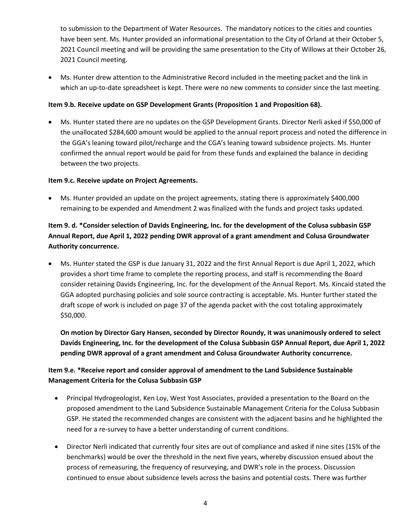to submission to the Department of Water Resources. The mandatory notices to the cities and counties have been sent. Ms. Hunter provided an informational presentation to the City of Orland at their October 5, 2021 Council meeting and will be providing the same presentation to the City of Willows at their October 26, 2021 Council meeting.

• Ms. Hunter drew attention to the Administrative Record included in the meeting packet and the link in which an up-to-date spreadsheet is kept. There were no new comments to consider since the last meeting.

#### **Item 9.b. Receive update on GSP Development Grants (Proposition 1 and Proposition 68).**

• Ms. Hunter stated there are no updates on the GSP Development Grants. Director Nerli asked if \$50,000 of the unallocated \$284,600 amount would be applied to the annual report process and noted the difference in the GGA's leaning toward pilot/recharge and the CGA's leaning toward subsidence projects. Ms. Hunter confirmed the annual report would be paid for from these funds and explained the balance in deciding between the two projects.

#### **Item 9.c. Receive update on Project Agreements.**

• Ms. Hunter provided an update on the project agreements, stating there is approximately \$400,000 remaining to be expended and Amendment 2 was finalized with the funds and project tasks updated.

# **Item 9. d. \*Consider selection of Davids Engineering, Inc. for the development of the Colusa subbasin GSP Annual Report, due April 1, 2022 pending DWR approval of a grant amendment and Colusa Groundwater Authority concurrence.**

• Ms. Hunter stated the GSP is due January 31, 2022 and the first Annual Report is due April 1, 2022, which provides a short time frame to complete the reporting process, and staff is recommending the Board consider retaining Davids Engineering, Inc. for the development of the Annual Report. Ms. Kincaid stated the GGA adopted purchasing policies and sole source contracting is acceptable. Ms. Hunter further stated the draft scope of work is included on page 37 of the agenda packet with the cost totaling approximately \$50,000.

**On motion by Director Gary Hansen, seconded by Director Roundy, it was unanimously ordered to select Davids Engineering, Inc. for the development of the Colusa Subbasin GSP Annual Report, due April 1, 2022 pending DWR approval of a grant amendment and Colusa Groundwater Authority concurrence.** 

# **Item 9.e. \*Receive report and consider approval of amendment to the Land Subsidence Sustainable Management Criteria for the Colusa Subbasin GSP**

- Principal Hydrogeologist, Ken Loy, West Yost Associates, provided a presentation to the Board on the proposed amendment to the Land Subsidence Sustainable Management Criteria for the Colusa Subbasin GSP. He stated the recommended changes are consistent with the adjacent basins and he highlighted the need for a re-survey to have a better understanding of current conditions.
- Director Nerli indicated that currently four sites are out of compliance and asked if nine sites (15% of the benchmarks) would be over the threshold in the next five years, whereby discussion ensued about the process of remeasuring, the frequency of resurveying, and DWR's role in the process. Discussion continued to ensue about subsidence levels across the basins and potential costs. There was further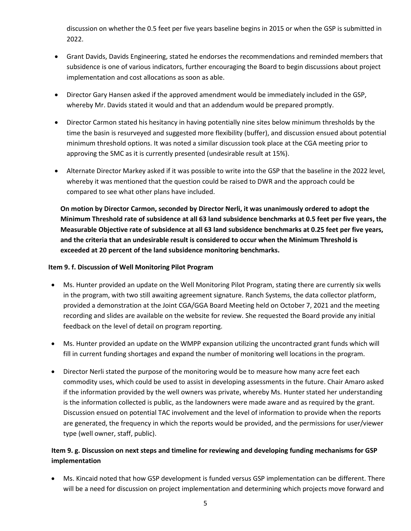discussion on whether the 0.5 feet per five years baseline begins in 2015 or when the GSP is submitted in 2022.

- Grant Davids, Davids Engineering, stated he endorses the recommendations and reminded members that subsidence is one of various indicators, further encouraging the Board to begin discussions about project implementation and cost allocations as soon as able.
- Director Gary Hansen asked if the approved amendment would be immediately included in the GSP, whereby Mr. Davids stated it would and that an addendum would be prepared promptly.
- Director Carmon stated his hesitancy in having potentially nine sites below minimum thresholds by the time the basin is resurveyed and suggested more flexibility (buffer), and discussion ensued about potential minimum threshold options. It was noted a similar discussion took place at the CGA meeting prior to approving the SMC as it is currently presented (undesirable result at 15%).
- Alternate Director Markey asked if it was possible to write into the GSP that the baseline in the 2022 level, whereby it was mentioned that the question could be raised to DWR and the approach could be compared to see what other plans have included.

**On motion by Director Carmon, seconded by Director Nerli, it was unanimously ordered to adopt the Minimum Threshold rate of subsidence at all 63 land subsidence benchmarks at 0.5 feet per five years, the Measurable Objective rate of subsidence at all 63 land subsidence benchmarks at 0.25 feet per five years, and the criteria that an undesirable result is considered to occur when the Minimum Threshold is exceeded at 20 percent of the land subsidence monitoring benchmarks.** 

#### **Item 9. f. Discussion of Well Monitoring Pilot Program**

- Ms. Hunter provided an update on the Well Monitoring Pilot Program, stating there are currently six wells in the program, with two still awaiting agreement signature. Ranch Systems, the data collector platform, provided a demonstration at the Joint CGA/GGA Board Meeting held on October 7, 2021 and the meeting recording and slides are available on the website for review. She requested the Board provide any initial feedback on the level of detail on program reporting.
- Ms. Hunter provided an update on the WMPP expansion utilizing the uncontracted grant funds which will fill in current funding shortages and expand the number of monitoring well locations in the program.
- Director Nerli stated the purpose of the monitoring would be to measure how many acre feet each commodity uses, which could be used to assist in developing assessments in the future. Chair Amaro asked if the information provided by the well owners was private, whereby Ms. Hunter stated her understanding is the information collected is public, as the landowners were made aware and as required by the grant. Discussion ensued on potential TAC involvement and the level of information to provide when the reports are generated, the frequency in which the reports would be provided, and the permissions for user/viewer type (well owner, staff, public).

### **Item 9. g. Discussion on next steps and timeline for reviewing and developing funding mechanisms for GSP implementation**

• Ms. Kincaid noted that how GSP development is funded versus GSP implementation can be different. There will be a need for discussion on project implementation and determining which projects move forward and